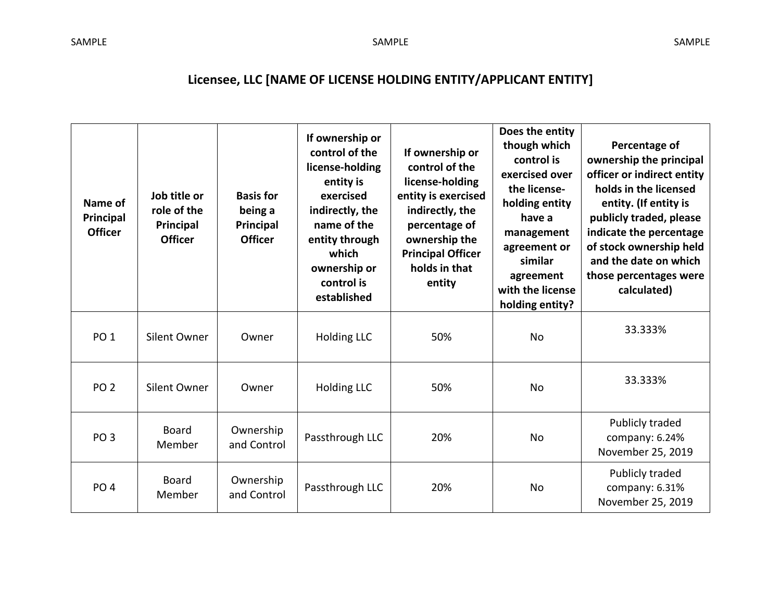## **Licensee, LLC [NAME OF LICENSE HOLDING ENTITY/APPLICANT ENTITY]**

| Name of<br>Principal<br><b>Officer</b> | Job title or<br>role of the<br>Principal<br><b>Officer</b> | <b>Basis for</b><br>being a<br>Principal<br><b>Officer</b> | If ownership or<br>control of the<br>license-holding<br>entity is<br>exercised<br>indirectly, the<br>name of the<br>entity through<br>which<br>ownership or<br>control is<br>established | If ownership or<br>control of the<br>license-holding<br>entity is exercised<br>indirectly, the<br>percentage of<br>ownership the<br><b>Principal Officer</b><br>holds in that<br>entity | Does the entity<br>though which<br>control is<br>exercised over<br>the license-<br>holding entity<br>have a<br>management<br>agreement or<br>similar<br>agreement<br>with the license<br>holding entity? | Percentage of<br>ownership the principal<br>officer or indirect entity<br>holds in the licensed<br>entity. (If entity is<br>publicly traded, please<br>indicate the percentage<br>of stock ownership held<br>and the date on which<br>those percentages were<br>calculated) |
|----------------------------------------|------------------------------------------------------------|------------------------------------------------------------|------------------------------------------------------------------------------------------------------------------------------------------------------------------------------------------|-----------------------------------------------------------------------------------------------------------------------------------------------------------------------------------------|----------------------------------------------------------------------------------------------------------------------------------------------------------------------------------------------------------|-----------------------------------------------------------------------------------------------------------------------------------------------------------------------------------------------------------------------------------------------------------------------------|
| PO <sub>1</sub>                        | Silent Owner                                               | Owner                                                      | <b>Holding LLC</b>                                                                                                                                                                       | 50%                                                                                                                                                                                     | No                                                                                                                                                                                                       | 33.333%                                                                                                                                                                                                                                                                     |
| PO <sub>2</sub>                        | Silent Owner                                               | Owner                                                      | <b>Holding LLC</b>                                                                                                                                                                       | 50%                                                                                                                                                                                     | <b>No</b>                                                                                                                                                                                                | 33.333%                                                                                                                                                                                                                                                                     |
| PO <sub>3</sub>                        | <b>Board</b><br>Member                                     | Ownership<br>and Control                                   | Passthrough LLC                                                                                                                                                                          | 20%                                                                                                                                                                                     | <b>No</b>                                                                                                                                                                                                | Publicly traded<br>company: 6.24%<br>November 25, 2019                                                                                                                                                                                                                      |
| PO <sub>4</sub>                        | <b>Board</b><br>Member                                     | Ownership<br>and Control                                   | Passthrough LLC                                                                                                                                                                          | 20%                                                                                                                                                                                     | No                                                                                                                                                                                                       | Publicly traded<br>company: 6.31%<br>November 25, 2019                                                                                                                                                                                                                      |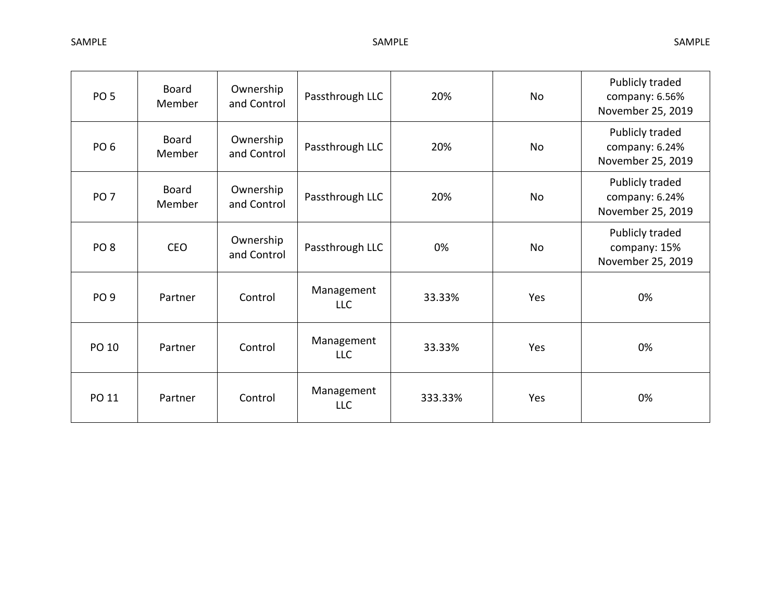| PO <sub>5</sub> | <b>Board</b><br>Member | Ownership<br>and Control | Passthrough LLC          | 20%     | <b>No</b> | Publicly traded<br>company: 6.56%<br>November 25, 2019 |
|-----------------|------------------------|--------------------------|--------------------------|---------|-----------|--------------------------------------------------------|
| PO <sub>6</sub> | <b>Board</b><br>Member | Ownership<br>and Control | Passthrough LLC          | 20%     | <b>No</b> | Publicly traded<br>company: 6.24%<br>November 25, 2019 |
| PO <sub>7</sub> | Board<br>Member        | Ownership<br>and Control | Passthrough LLC          | 20%     | No        | Publicly traded<br>company: 6.24%<br>November 25, 2019 |
| PO <sub>8</sub> | <b>CEO</b>             | Ownership<br>and Control | Passthrough LLC          | 0%      | No        | Publicly traded<br>company: 15%<br>November 25, 2019   |
| PO <sub>9</sub> | Partner                | Control                  | Management<br><b>LLC</b> | 33.33%  | Yes       | 0%                                                     |
| PO 10           | Partner                | Control                  | Management<br><b>LLC</b> | 33.33%  | Yes       | 0%                                                     |
| PO 11           | Partner                | Control                  | Management<br><b>LLC</b> | 333.33% | Yes       | 0%                                                     |